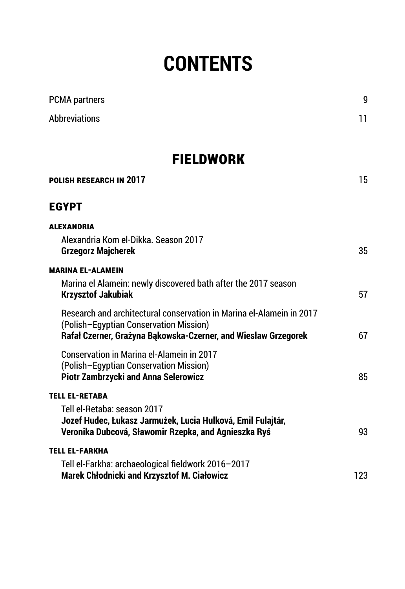# **contents**

| <b>PCMA</b> partners                                                                                                                                                             | 9   |
|----------------------------------------------------------------------------------------------------------------------------------------------------------------------------------|-----|
| <b>Abbreviations</b>                                                                                                                                                             | 11  |
| <b>FIELDWORK</b>                                                                                                                                                                 |     |
| POLISH RESEARCH IN 2017                                                                                                                                                          | 15  |
| <b>EGYPT</b>                                                                                                                                                                     |     |
| <b>ALEXANDRIA</b><br>Alexandria Kom el-Dikka. Season 2017<br><b>Grzegorz Majcherek</b>                                                                                           | 35  |
| <b>MARINA EL-ALAMEIN</b><br>Marina el Alamein: newly discovered bath after the 2017 season<br><b>Krzysztof Jakubiak</b>                                                          | 57  |
| Research and architectural conservation in Marina el-Alamein in 2017<br>(Polish-Egyptian Conservation Mission)<br>Rafał Czerner, Grażyna Bąkowska-Czerner, and Wiesław Grzegorek | 67  |
| <b>Conservation in Marina el-Alamein in 2017</b><br>(Polish-Egyptian Conservation Mission)<br><b>Piotr Zambrzycki and Anna Selerowicz</b>                                        | 85  |
| <b>TELL EL-RETABA</b>                                                                                                                                                            |     |
| Tell el-Retaba: season 2017<br>Jozef Hudec, Łukasz Jarmużek, Lucia Hulková, Emil Fulajtár,<br>Veronika Dubcová, Sławomir Rzepka, and Agnieszka Ryś                               | 93  |
| <b>TELL EL-FARKHA</b>                                                                                                                                                            |     |
| Tell el-Farkha: archaeological fieldwork 2016-2017<br><b>Marek Chłodnicki and Krzysztof M. Ciałowicz</b>                                                                         | 123 |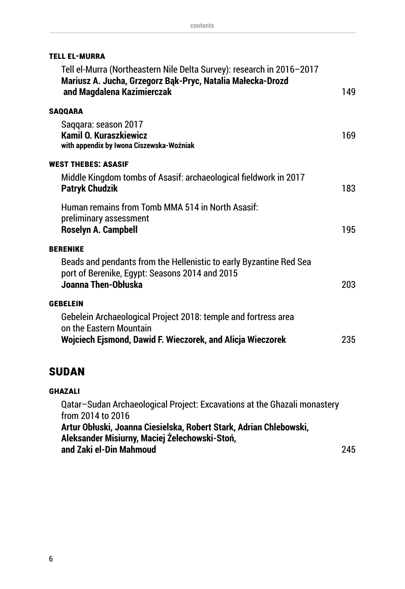| TELL EL-MURRA |  |
|---------------|--|
|---------------|--|

| Tell el-Murra (Northeastern Nile Delta Survey): research in 2016-2017<br>Mariusz A. Jucha, Grzegorz Bąk-Pryc, Natalia Małecka-Drozd<br>and Magdalena Kazimierczak | 149 |
|-------------------------------------------------------------------------------------------------------------------------------------------------------------------|-----|
| <b>SAQQARA</b>                                                                                                                                                    |     |
| Saqqara: season 2017<br><b>Kamil O. Kuraszkiewicz</b><br>with appendix by Iwona Ciszewska-Woźniak                                                                 | 169 |
| <b>WEST THEBES: ASASIF</b>                                                                                                                                        |     |
| Middle Kingdom tombs of Asasif: archaeological fieldwork in 2017<br><b>Patryk Chudzik</b>                                                                         | 183 |
| Human remains from Tomb MMA 514 in North Asasif:<br>preliminary assessment<br><b>Roselyn A. Campbell</b>                                                          | 195 |
| <b>BERENIKE</b>                                                                                                                                                   |     |
| Beads and pendants from the Hellenistic to early Byzantine Red Sea<br>port of Berenike, Egypt: Seasons 2014 and 2015<br>Joanna Then-Obłuska                       | 203 |
| <b>GEBELEIN</b>                                                                                                                                                   |     |
| Gebelein Archaeological Project 2018: temple and fortress area<br>on the Eastern Mountain<br>Wojciech Ejsmond, Dawid F. Wieczorek, and Alicja Wieczorek           | 235 |

### **Sudan**

#### **Ghazali**

Qatar–Sudan Archaeological Project: Excavations at the Ghazali monastery from 2014 to 2016 **Artur Obłuski, Joanna Ciesielska, Robert Stark, Adrian Chlebowski, Aleksander Misiurny, Maciej Żelechowski-Stoń, and Zaki el-Din Mahmoud** 245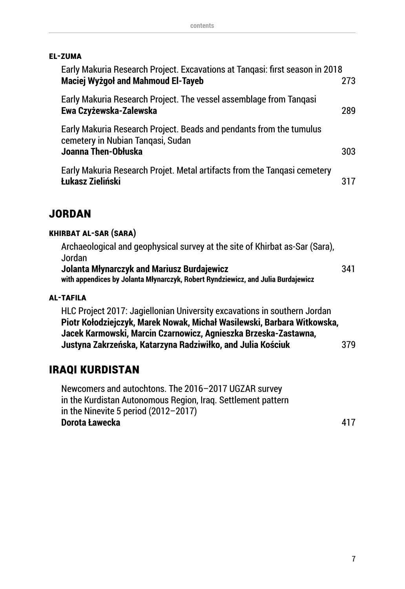#### **El-Zuma**

| Early Makuria Research Project. Excavations at Tangasi: first season in 2018<br><b>Maciej Wyżgoł and Mahmoud El-Tayeb</b>       | 273 |
|---------------------------------------------------------------------------------------------------------------------------------|-----|
| Early Makuria Research Project. The vessel assemblage from Tangasi<br>Ewa Czyżewska-Zalewska                                    | 289 |
| Early Makuria Research Project. Beads and pendants from the tumulus<br>cemetery in Nubian Tangasi, Sudan<br>Joanna Then-Obłuska | 303 |
| Early Makuria Research Projet. Metal artifacts from the Tangasi cemetery<br>Łukasz Zieliński                                    | 317 |

#### **jordan**

#### **Khirbat al-Sar (Sara)**

| Archaeological and geophysical survey at the site of Khirbat as-Sar (Sara),      |     |
|----------------------------------------------------------------------------------|-----|
| Jordan                                                                           |     |
| Jolanta Młynarczyk and Mariusz Burdajewicz                                       | 341 |
| with appendices by Jolanta Młynarczyk, Robert Ryndziewicz, and Julia Burdajewicz |     |

#### **AL-TAFILA**

HLC Project 2017: Jagiellonian University excavations in southern Jordan **Piotr Kołodziejczyk, Marek Nowak, Michał Wasilewski, Barbara Witkowska, Jacek Karmowski, Marcin Czarnowicz, Agnieszka Brzeska-Zastawna, Justyna Zakrzeńska, Katarzyna Radziwiłko, and Julia Kościuk** 379

#### **IRAQI KURDISTAN**

Newcomers and autochtons. The 2016–2017 UGZAR survey in the Kurdistan Autonomous Region, Iraq. Settlement pattern in the Ninevite 5 period (2012–2017) **Dorota Ławecka** 417